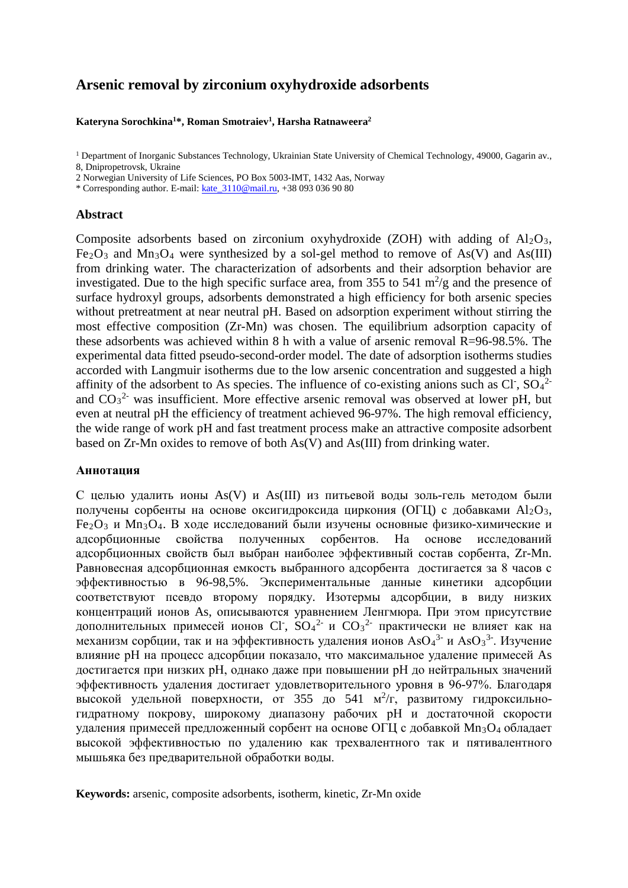# **Arsenic removal by zirconium oxyhydroxide adsorbents**

## **Kateryna Sorochkina1 \*, Roman Smotraiev1 , Harsha Ratnaweera2**

<sup>1</sup> Department of Inorganic Substances Technology, Ukrainian State University of Chemical Technology, 49000, Gagarin av., 8, Dnipropetrovsk, Ukraine

2 Norwegian University of Life Sciences, PO Box 5003-IMT, 1432 Aas, Norway

\* Corresponding author. E-mail: [kate\\_3110@mail.ru,](mailto:kate_3110@mail.ru) +38 093 036 90 80

# **Abstract**

Composite adsorbents based on zirconium oxyhydroxide (ZOH) with adding of  $Al_2O_3$ , Fe<sub>2</sub>O<sub>3</sub> and Mn<sub>3</sub>O<sub>4</sub> were synthesized by a sol-gel method to remove of As(V) and As(III) from drinking water. The characterization of adsorbents and their adsorption behavior are investigated. Due to the high specific surface area, from 355 to 541  $\text{m}^2/\text{g}$  and the presence of surface hydroxyl groups, adsorbents demonstrated a high efficiency for both arsenic species without pretreatment at near neutral pH. Based on adsorption experiment without stirring the most effective composition (Zr-Mn) was chosen. The equilibrium adsorption capacity of these adsorbents was achieved within 8 h with a value of arsenic removal R=96-98.5%. The experimental data fitted pseudo-second-order model. The date of adsorption isotherms studies accorded with Langmuir isotherms due to the low arsenic concentration and suggested a high affinity of the adsorbent to As species. The influence of co-existing anions such as Cl<sup>-</sup>, SO<sub>4</sub><sup>2</sup> and  $CO<sub>3</sub><sup>2</sup>$  was insufficient. More effective arsenic removal was observed at lower pH, but even at neutral pH the efficiency of treatment achieved 96-97%. The high removal efficiency, the wide range of work pH and fast treatment process make an attractive composite adsorbent based on Zr-Mn oxides to remove of both As(V) and As(III) from drinking water.

# **Аннотация**

С целью удалить ионы As(V) и As(III) из питьевой воды золь-гель методом были получены сорбенты на основе оксигидроксида циркония (ОГЦ) с добавками  $Al_2O_3$ , Fe2O3 и Mn3O4. В ходе исследований были изучены основные физико-химические и адсорбционные свойства полученных сорбентов. На основе исследований адсорбционных свойств был выбран наиболее эффективный состав сорбента, Zr-Mn. Равновесная адсорбционная емкость выбранного адсорбента достигается за 8 часов с эффективностью в 96-98,5%. Экспериментальные данные кинетики адсорбции соответствуют псевдо второму порядку. Изотермы адсорбции, в виду низких концентраций ионов As, описываются уравнением Ленгмюра. При этом присутствие дополнительных примесей ионов Cl<sup>-</sup>, SO<sub>4</sub><sup>2-</sup> и CO<sub>3</sub><sup>2</sup> практически не влияет как на механизм сорбции, так и на эффективность удаления ионов  $AsO<sub>4</sub><sup>3-</sup>$  и As $O<sub>3</sub><sup>3-</sup>$ . Изучение влияние рН на процесс адсорбции показало, что максимальное удаление примесей As достигается при низких рН, однако даже при повышении рН до нейтральных значений эффективность удаления достигает удовлетворительного уровня в 96-97%. Благодаря высокой удельной поверхности, от 355 до 541 м<sup>2</sup>/г, развитому гидроксильногидратному покрову, широкому диапазону рабочих рН и достаточной скорости удаления примесей предложенный сорбент на основе ОГЦ с добавкой Mn3O4 обладает высокой эффективностью по удалению как трехвалентного так и пятивалентного мышьяка без предварительной обработки воды.

**Keywords:** arsenic, composite adsorbents, isotherm, kinetic, Zr-Mn oxide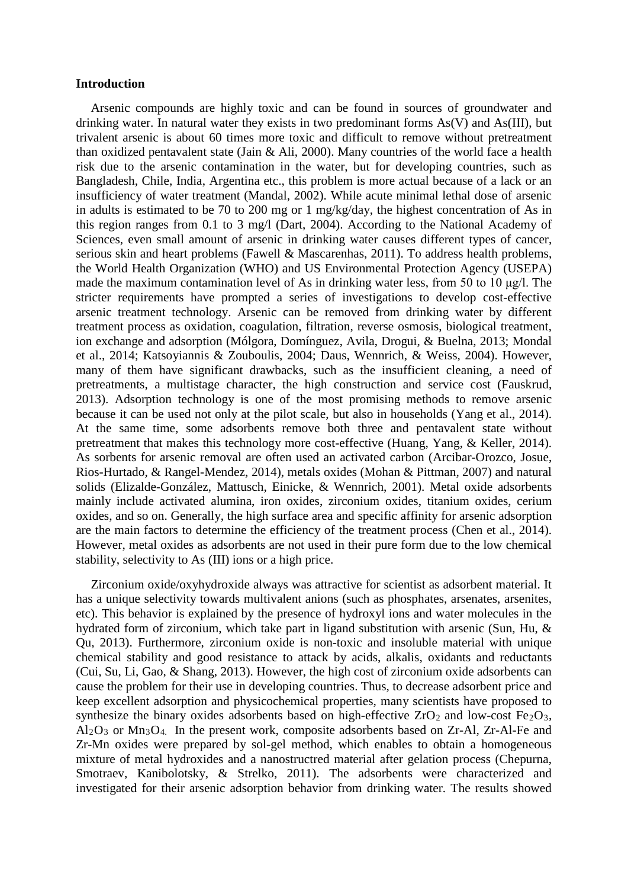# **Introduction**

Arsenic compounds are highly toxic and can be found in sources of groundwater and drinking water. In natural water they exists in two predominant forms As(V) and As(III), but trivalent arsenic is about 60 times more toxic and difficult to remove without pretreatment than oxidized pentavalent state (Jain  $\&$  Ali, 2000). Many countries of the world face a health risk due to the arsenic contamination in the water, but for developing countries, such as Bangladesh, Chile, India, Argentina etc., this problem is more actual because of a lack or an insufficiency of water treatment (Mandal, 2002). While acute minimal lethal dose of arsenic in adults is estimated to be 70 to 200 mg or 1 mg/kg/day, the highest concentration of As in this region ranges from 0.1 to 3 mg/l (Dart, 2004). According to the National Academy of Sciences, even small amount of arsenic in drinking water causes different types of cancer, serious skin and heart problems (Fawell & Mascarenhas, 2011). To address health problems, the World Health Organization (WHO) and US Environmental Protection Agency (USEPA) made the maximum contamination level of As in drinking water less, from 50 to 10 μg/l. The stricter requirements have prompted a series of investigations to develop cost-effective arsenic treatment technology. Arsenic can be removed from drinking water by different treatment process as oxidation, coagulation, filtration, reverse osmosis, biological treatment, ion exchange and adsorption (Mólgora, Domínguez, Avila, Drogui, & Buelna, 2013; Mondal et al., 2014; Katsoyiannis & Zouboulis, 2004; Daus, Wennrich, & Weiss, 2004). However, many of them have significant drawbacks, such as the insufficient cleaning, a need of pretreatments, a multistage character, the high construction and service cost (Fauskrud, 2013). Adsorption technology is one of the most promising methods to remove arsenic because it can be used not only at the pilot scale, but also in households (Yang et al., 2014). At the same time, some adsorbents remove both three and pentavalent state without pretreatment that makes this technology more cost-effective (Huang, Yang, & Keller, 2014). As sorbents for arsenic removal are often used an activated carbon (Arcibar-Orozco, Josue, Rios-Hurtado, & Rangel-Mendez, 2014), metals oxides (Mohan & Pittman, 2007) and natural solids (Elizalde-González, Mattusch, Einicke, & Wennrich, 2001). Metal oxide adsorbents mainly include activated alumina, iron oxides, zirconium oxides, titanium oxides, cerium oxides, and so on. Generally, the high surface area and specific affinity for arsenic adsorption are the main factors to determine the efficiency of the treatment process (Chen et al., 2014). However, metal oxides as adsorbents are not used in their pure form due to the low chemical stability, selectivity to As (III) ions or a high price.

Zirconium oxide/oxyhydroxide always was attractive for scientist as adsorbent material. It has a unique selectivity towards multivalent anions (such as phosphates, arsenates, arsenites, etc). This behavior is explained by the presence of hydroxyl ions and water molecules in the hydrated form of zirconium, which take part in ligand substitution with arsenic (Sun, Hu, & Qu, 2013). Furthermore, zirconium oxide is non-toxic and insoluble material with unique chemical stability and good resistance to attack by acids, alkalis, oxidants and reductants (Cui, Su, Li, Gao, & Shang, 2013). However, the high cost of zirconium oxide adsorbents can cause the problem for their use in developing countries. Thus, to decrease adsorbent price and keep excellent adsorption and physicochemical properties, many scientists have proposed to synthesize the binary oxides adsorbents based on high-effective  $ZrO<sub>2</sub>$  and low-cost Fe<sub>2</sub>O<sub>3</sub>,  $Al_2O_3$  or  $Mn_3O_4$ . In the present work, composite adsorbents based on Zr-Al, Zr-Al-Fe and Zr-Mn oxides were prepared by sol-gel method, which enables to obtain a homogeneous mixture of metal hydroxides and a nanostructred material after gelation process (Chepurna, Smotraev, Kanibolotsky, & Strelko, 2011). The adsorbents were characterized and investigated for their arsenic adsorption behavior from drinking water. The results showed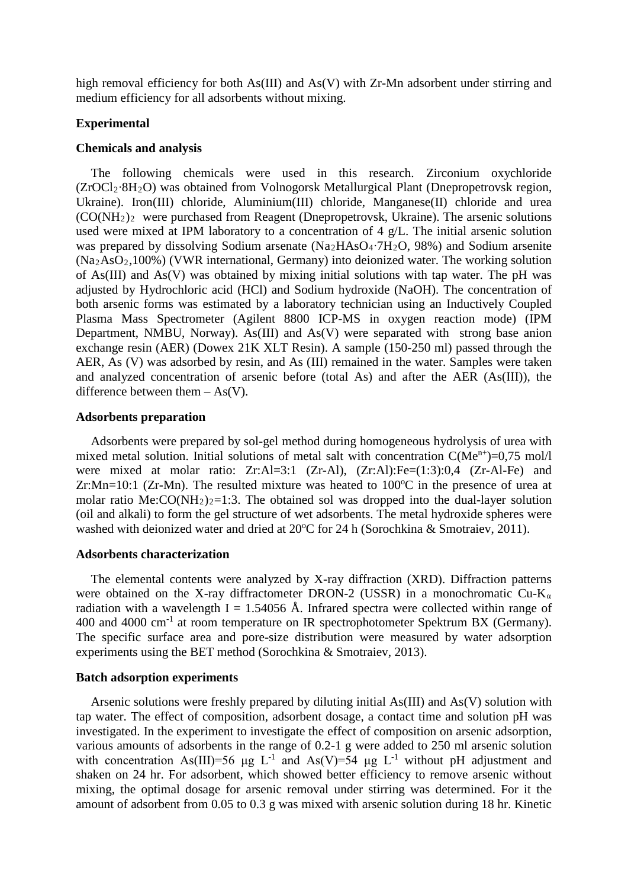high removal efficiency for both As(III) and As(V) with Zr-Mn adsorbent under stirring and medium efficiency for all adsorbents without mixing.

## **Experimental**

## **Chemicals and analysis**

The following chemicals were used in this research. Zirconium oxychloride (ZrOCl2∙8H2O) was obtained from Volnogorsk Metallurgical Plant (Dnepropetrovsk region, Ukraine). Iron(III) chloride, Aluminium(III) chloride, Manganese(II) chloride and urea  $(CO(NH<sub>2</sub>)<sub>2</sub>$  were purchased from Reagent (Dnepropetrovsk, Ukraine). The arsenic solutions used were mixed at IPM laboratory to a concentration of 4 g/L. The initial arsenic solution was prepared by dissolving Sodium arsenate (Na2HAsO4∙7H2O, 98%) and Sodium arsenite  $(Na<sub>2</sub>AsO<sub>2</sub>,100%)$  (VWR international, Germany) into deionized water. The working solution of As(III) and As(V) was obtained by mixing initial solutions with tap water. The pH was adjusted by Hydrochloric acid (HCl) and Sodium hydroxide (NaOH). The concentration of both arsenic forms was estimated by a laboratory technician using an Inductively Coupled Plasma Mass Spectrometer (Agilent 8800 ICP-MS in oxygen reaction mode) (IPM Department, NMBU, Norway). As  $(III)$  and As $(V)$  were separated with strong base anion exchange resin (AER) (Dowex 21K XLT Resin). A sample (150-250 ml) passed through the AER, As (V) was adsorbed by resin, and As (III) remained in the water. Samples were taken and analyzed concentration of arsenic before (total As) and after the AER (As(III)), the difference between them  $-$  As(V).

## **Adsorbents preparation**

Adsorbents were prepared by sol-gel method during homogeneous hydrolysis of urea with mixed metal solution. Initial solutions of metal salt with concentration  $C(Me^{n+})=0.75$  mol/l were mixed at molar ratio: Zr:Al=3:1 (Zr-Al), (Zr:Al):Fe=(1:3):0,4 (Zr-Al-Fe) and Zr:Mn=10:1 (Zr-Mn). The resulted mixture was heated to  $100^{\circ}$ C in the presence of urea at molar ratio Me: $CO(NH_2)_2=1:3$ . The obtained sol was dropped into the dual-layer solution (oil and alkali) to form the gel structure of wet adsorbents. The metal hydroxide spheres were washed with deionized water and dried at 20°C for 24 h (Sorochkina & Smotraiev, 2011).

# **Adsorbents characterization**

The elemental contents were analyzed by X-ray diffraction (XRD). Diffraction patterns were obtained on the X-ray diffractometer DRON-2 (USSR) in a monochromatic  $Cu$ -K<sub>a</sub> radiation with a wavelength I = 1.54056 Å. Infrared spectra were collected within range of 400 and 4000 cm-1 at room temperature on IR spectrophotometer Spektrum BX (Germany). The specific surface area and pore-size distribution were measured by water adsorption experiments using the BET method (Sorochkina & Smotraiev, 2013).

## **Batch adsorption experiments**

Arsenic solutions were freshly prepared by diluting initial As(III) and As(V) solution with tap water. The effect of composition, adsorbent dosage, a contact time and solution pH was investigated. In the experiment to investigate the effect of composition on arsenic adsorption, various amounts of adsorbents in the range of 0.2-1 g were added to 250 ml arsenic solution with concentration As(III)=56 μg L<sup>-1</sup> and As(V)=54 μg L<sup>-1</sup> without pH adjustment and shaken on 24 hr. For adsorbent, which showed better efficiency to remove arsenic without mixing, the optimal dosage for arsenic removal under stirring was determined. For it the amount of adsorbent from 0.05 to 0.3 g was mixed with arsenic solution during 18 hr. Kinetic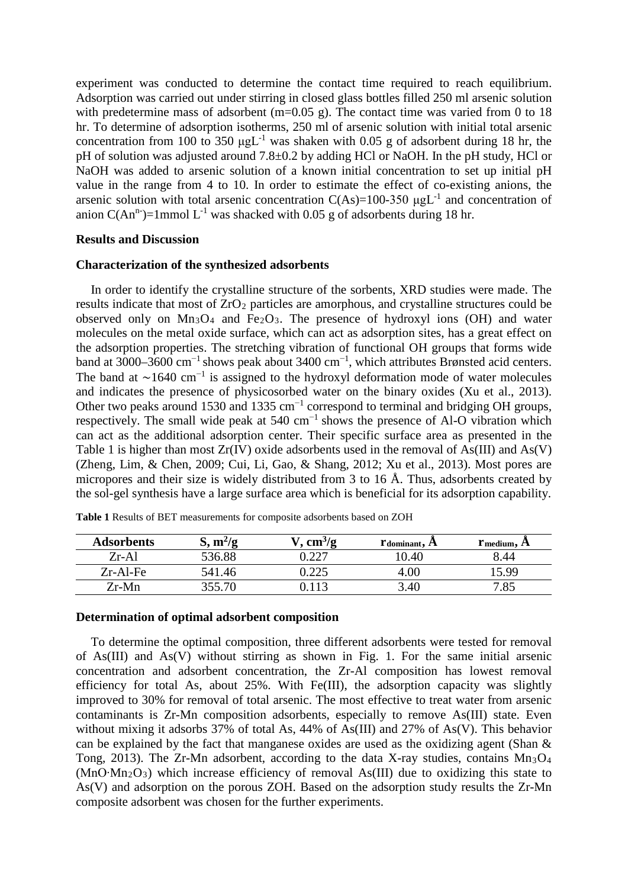experiment was conducted to determine the contact time required to reach equilibrium. Adsorption was carried out under stirring in closed glass bottles filled 250 ml arsenic solution with predetermine mass of adsorbent (m=0.05 g). The contact time was varied from 0 to 18 hr. To determine of adsorption isotherms, 250 ml of arsenic solution with initial total arsenic concentration from 100 to 350  $\mu g L^{-1}$  was shaken with 0.05 g of adsorbent during 18 hr, the pH of solution was adjusted around 7.8±0.2 by adding HCl or NaOH. In the pH study, HCl or NaOH was added to arsenic solution of a known initial concentration to set up initial pH value in the range from 4 to 10. In order to estimate the effect of co-existing anions, the arsenic solution with total arsenic concentration  $C(As)=100-350 \mu g L^{-1}$  and concentration of anion  $C(An^n)$ =1mmol L<sup>-1</sup> was shacked with 0.05 g of adsorbents during 18 hr.

# **Results and Discussion**

## **Characterization of the synthesized adsorbents**

In order to identify the crystalline structure of the sorbents, XRD studies were made. The results indicate that most of  $ZrO<sub>2</sub>$  particles are amorphous, and crystalline structures could be observed only on  $Mn_3O_4$  and  $Fe_2O_3$ . The presence of hydroxyl ions (OH) and water molecules on the metal oxide surface, which can act as adsorption sites, has a great effect on the adsorption properties. The stretching vibration of functional OH groups that forms wide band at 3000–3600 cm<sup>-1</sup> shows peak about 3400 cm<sup>-1</sup>, which attributes Brønsted acid centers. The band at  $\sim$ 1640 cm<sup>-1</sup> is assigned to the hydroxyl deformation mode of water molecules and indicates the presence of physicosorbed water on the binary oxides (Xu et al., 2013). Other two peaks around 1530 and 1335 cm<sup>-1</sup> correspond to terminal and bridging OH groups, respectively. The small wide peak at 540 cm<sup>−</sup><sup>1</sup> shows the presence of Al-O vibration which can act as the additional adsorption center. Their specific surface area as presented in the Table 1 is higher than most  $Zr(IV)$  oxide adsorbents used in the removal of As(III) and As(V) (Zheng, Lim, & Chen, 2009; Cui, Li, Gao, & Shang, 2012; Xu et al., 2013). Most pores are micropores and their size is widely distributed from 3 to 16 Å. Thus, adsorbents created by the sol-gel synthesis have a large surface area which is beneficial for its adsorption capability.

| <b>Adsorbents</b> | $m^2/g$<br>◡ | $\text{cm}^3/\text{g}$ | $r$ <sub>dominant</sub> , $A$ | $r$ medium, $A$ |
|-------------------|--------------|------------------------|-------------------------------|-----------------|
| $Zr-Al$           | 536.88       |                        | 0.40                          |                 |
| $Zr-Al-Fe$        | 541.46       | ن کے بے ر              |                               | 15 99           |
| $Zr-Mn$           | 355.70       |                        | 3.40                          | 7.85            |

**Table 1** Results of BET measurements for composite adsorbents based on ZOH

# **Determination of optimal adsorbent composition**

To determine the optimal composition, three different adsorbents were tested for removal of As(III) and As(V) without stirring as shown in Fig. 1. For the same initial arsenic concentration and adsorbent concentration, the Zr-Al composition has lowest removal efficiency for total As, about 25%. With Fe(III), the adsorption capacity was slightly improved to 30% for removal of total arsenic. The most effective to treat water from arsenic contaminants is Zr-Mn composition adsorbents, especially to remove As(III) state. Even without mixing it adsorbs 37% of total As, 44% of As(III) and 27% of As(V). This behavior can be explained by the fact that manganese oxides are used as the oxidizing agent (Shan & Tong, 2013). The Zr-Mn adsorbent, according to the data X-ray studies, contains  $Mn_3O_4$ (MnO∙Mn2O3) which increase efficiency of removal As(III) due to oxidizing this state to As(V) and adsorption on the porous ZOH. Based on the adsorption study results the Zr-Mn composite adsorbent was chosen for the further experiments.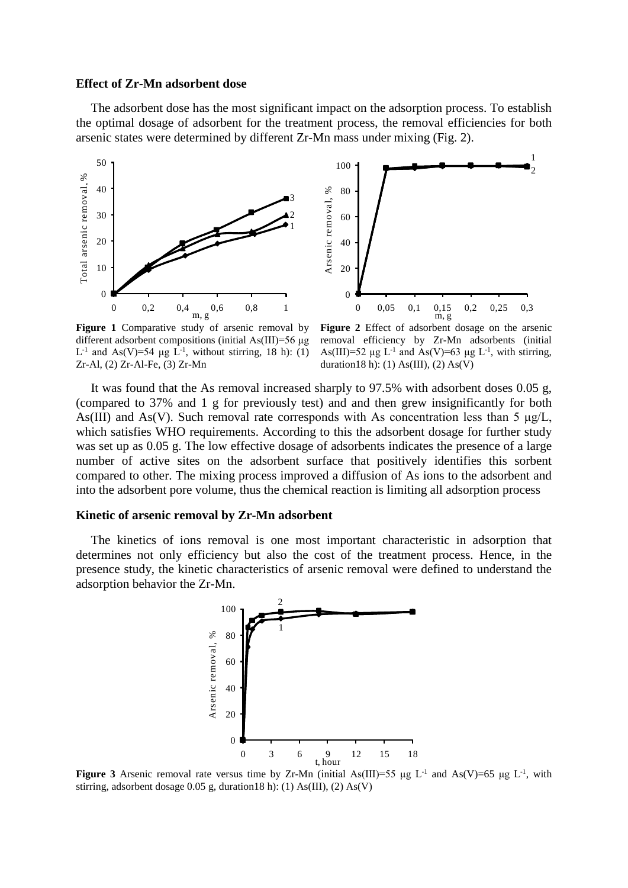## **Effect of Zr-Mn adsorbent dose**

The adsorbent dose has the most significant impact on the adsorption process. To establish the optimal dosage of adsorbent for the treatment process, the removal efficiencies for both arsenic states were determined by different Zr-Mn mass under mixing (Fig. 2).



Figure 1 Comparative study of arsenic removal by different adsorbent compositions (initial As(III)=56 μg L<sup>-1</sup> and As(V)=54 μg L<sup>-1</sup>, without stirring, 18 h): (1) Zr-Al, (2) Zr-Al-Fe, (3) Zr-Mn

**Figure 2** Effect of adsorbent dosage on the arsenic removal efficiency by Zr-Mn adsorbents (initial As(III)=52  $\mu$ g L<sup>-1</sup> and As(V)=63  $\mu$ g L<sup>-1</sup>, with stirring, duration18 h): (1) As(III), (2) As(V)

It was found that the As removal increased sharply to 97.5% with adsorbent doses 0.05 g, (compared to 37% and 1 g for previously test) and and then grew insignificantly for both As(III) and As(V). Such removal rate corresponds with As concentration less than 5  $\mu$ g/L, which satisfies WHO requirements. According to this the adsorbent dosage for further study was set up as 0.05 g. The low effective dosage of adsorbents indicates the presence of a large number of active sites on the adsorbent surface that positively identifies this sorbent compared to other. The mixing process improved a diffusion of As ions to the adsorbent and into the adsorbent pore volume, thus the chemical reaction is limiting all adsorption process

## **Kinetic of arsenic removal by Zr-Mn adsorbent**

The kinetics of ions removal is one most important characteristic in adsorption that determines not only efficiency but also the cost of the treatment process. Hence, in the presence study, the kinetic characteristics of arsenic removal were defined to understand the adsorption behavior the Zr-Mn.



**Figure 3** Arsenic removal rate versus time by Zr-Mn (initial As(III)=55 μg L<sup>-1</sup> and As(V)=65 μg L<sup>-1</sup>, with stirring, adsorbent dosage 0.05 g, duration18 h): (1) As(III), (2) As(V)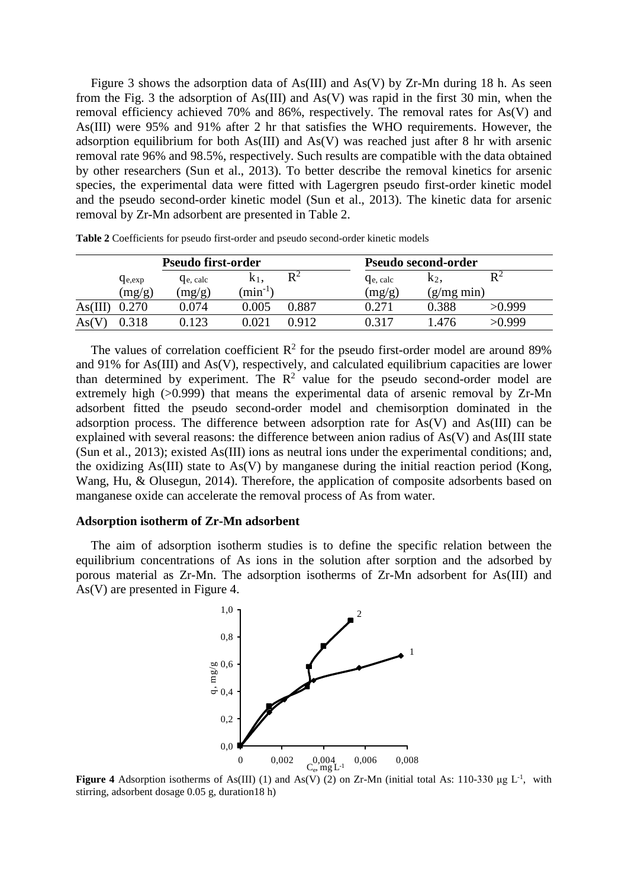Figure 3 shows the adsorption data of As(III) and As(V) by  $Zr$ -Mn during 18 h. As seen from the Fig. 3 the adsorption of As(III) and As(V) was rapid in the first 30 min, when the removal efficiency achieved 70% and 86%, respectively. The removal rates for As(V) and As(III) were 95% and 91% after 2 hr that satisfies the WHO requirements. However, the adsorption equilibrium for both  $As(III)$  and  $As(V)$  was reached just after 8 hr with arsenic removal rate 96% and 98.5%, respectively. Such results are compatible with the data obtained by other researchers (Sun et al., 2013). To better describe the removal kinetics for arsenic species, the experimental data were fitted with Lagergren pseudo first-order kinetic model and the pseudo second-order kinetic model (Sun et al., 2013). The kinetic data for arsenic removal by Zr-Mn adsorbent are presented in Table 2.

|        | <b>Pseudo first-order</b> |                              |                   |                | <b>Pseudo second-order</b>   |               |        |
|--------|---------------------------|------------------------------|-------------------|----------------|------------------------------|---------------|--------|
|        | $q_{e, exp}$              | <b>G</b> <sub>e</sub> , calc | K <sub>1</sub>    | $\mathbf{R}^2$ | <b>G</b> <sub>e</sub> , calc | K2,           | $R^2$  |
|        | (mg/g)                    | (mg/g)                       | $\text{min}^{-1}$ |                | (mg/g)                       | $(g/mg \min)$ |        |
| As(11) | 0.270                     | ).074                        | 0.005             | 0.887          | 271                          | 0.388         | >0.999 |
| As(V)  |                           | 123                          | .02 <sub>1</sub>  | ገ 912          | በ 317                        | .476          | >0.999 |

**Table 2** Coefficients for pseudo first-order and pseudo second-order kinetic models

The values of correlation coefficient  $R^2$  for the pseudo first-order model are around 89% and 91% for As(III) and As(V), respectively, and calculated equilibrium capacities are lower than determined by experiment. The  $R^2$  value for the pseudo second-order model are extremely high (>0.999) that means the experimental data of arsenic removal by Zr-Mn adsorbent fitted the pseudo second-order model and chemisorption dominated in the adsorption process. The difference between adsorption rate for As(V) and As(III) can be explained with several reasons: the difference between anion radius of As(V) and As(III state (Sun et al., 2013); existed As(III) ions as neutral ions under the experimental conditions; and, the oxidizing As(III) state to As(V) by manganese during the initial reaction period (Kong, Wang, Hu, & Olusegun, 2014). Therefore, the application of composite adsorbents based on manganese oxide can accelerate the removal process of As from water.

#### **Adsorption isotherm of Zr-Mn adsorbent**

The aim of adsorption isotherm studies is to define the specific relation between the equilibrium concentrations of As ions in the solution after sorption and the adsorbed by porous material as Zr-Mn. The adsorption isotherms of Zr-Mn adsorbent for As(III) and As(V) are presented in Figure 4.



**Figure 4** Adsorption isotherms of As(III) (1) and As(V) (2) on Zr-Mn (initial total As: 110-330  $\mu$ g L<sup>-1</sup>, with stirring, adsorbent dosage 0.05 g, duration18 h)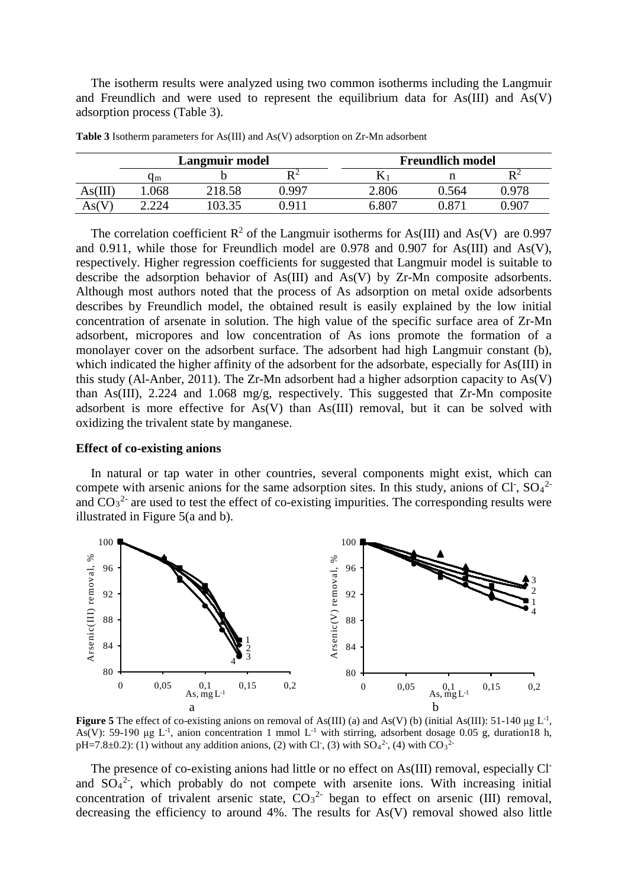The isotherm results were analyzed using two common isotherms including the Langmuir and Freundlich and were used to represent the equilibrium data for  $As(III)$  and  $As(V)$ adsorption process (Table 3).

|        | Langmuir model                |        |        |        | <b>Freundlich model</b> |                |  |
|--------|-------------------------------|--------|--------|--------|-------------------------|----------------|--|
|        | Чm                            |        |        |        |                         | $\mathbf{D}^2$ |  |
| As(III | .068                          | 218.58 | 997 (، | ۔ 806۔ | 0.564                   | 0.978          |  |
| As(    | $\bigcap$ $\bigcap$ $\bigcap$ | IN3 35 | በ 911  | .807   |                         | 0.907          |  |

**Table 3** Isotherm parameters for As(III) and As(V) adsorption on Zr-Mn adsorbent

The correlation coefficient  $R^2$  of the Langmuir isotherms for As(III) and As(V) are 0.997 and 0.911, while those for Freundlich model are 0.978 and 0.907 for As(III) and As(V), respectively. Higher regression coefficients for suggested that Langmuir model is suitable to describe the adsorption behavior of As(III) and As(V) by Zr-Mn composite adsorbents. Although most authors noted that the process of As adsorption on metal oxide adsorbents describes by Freundlich model, the obtained result is easily explained by the low initial concentration of arsenate in solution. The high value of the specific surface area of Zr-Mn adsorbent, micropores and low concentration of As ions promote the formation of a monolayer cover on the adsorbent surface. The adsorbent had high Langmuir constant (b), which indicated the higher affinity of the adsorbent for the adsorbate, especially for As(III) in this study (Al-Anber, 2011). The Zr-Mn adsorbent had a higher adsorption capacity to As(V) than As(III), 2.224 and 1.068 mg/g, respectively. This suggested that Zr-Mn composite adsorbent is more effective for As(V) than As(III) removal, but it can be solved with oxidizing the trivalent state by manganese.

## **Effect of co-existing anions**

In natural or tap water in other countries, several components might exist, which can compete with arsenic anions for the same adsorption sites. In this study, anions of Cl<sup>-</sup>, SO<sub>4</sub><sup>2</sup> and  $CO<sub>3</sub><sup>2</sup>$  are used to test the effect of co-existing impurities. The corresponding results were illustrated in Figure 5(a and b).



**Figure 5** The effect of co-existing anions on removal of As(III) (a) and As(V) (b) (initial As(III): 51-140  $\mu$ g L<sup>-1</sup>, As(V): 59-190  $\mu$ g L<sup>-1</sup>, anion concentration 1 mmol L<sup>-1</sup> with stirring, adsorbent dosage 0.05 g, duration18 h, pH=7.8 $\pm$ 0.2): (1) without any addition anions, (2) with Cl<sup>-</sup>, (3) with SO<sub>4</sub><sup>2-</sup>, (4) with CO<sub>3</sub><sup>2-</sup>

The presence of co-existing anions had little or no effect on As(III) removal, especially Cland  $SO_4^2$ , which probably do not compete with arsenite ions. With increasing initial concentration of trivalent arsenic state,  $CO_3^2$  began to effect on arsenic (III) removal, decreasing the efficiency to around 4%. The results for As(V) removal showed also little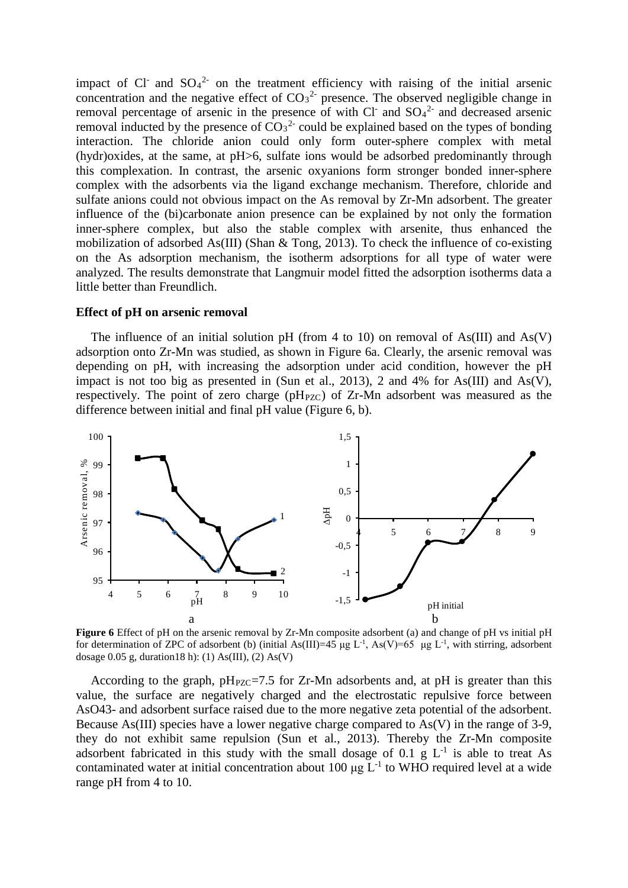impact of Cl<sup>-</sup> and  $SO_4^2$ <sup>-</sup> on the treatment efficiency with raising of the initial arsenic concentration and the negative effect of  $CO<sub>3</sub><sup>2</sup>$  presence. The observed negligible change in removal percentage of arsenic in the presence of with Cl<sup>-</sup> and SO<sub>4</sub><sup>2-</sup> and decreased arsenic removal inducted by the presence of  $CO_3^2$  could be explained based on the types of bonding interaction. The chloride anion could only form outer-sphere complex with metal (hydr)oxides, at the same, at pH>6, sulfate ions would be adsorbed predominantly through this complexation. In contrast, the arsenic oxyanions form stronger bonded inner-sphere complex with the adsorbents via the ligand exchange mechanism. Therefore, chloride and sulfate anions could not obvious impact on the As removal by Zr-Mn adsorbent. The greater influence of the (bi)carbonate anion presence can be explained by not only the formation inner-sphere complex, but also the stable complex with arsenite, thus enhanced the mobilization of adsorbed As(III) (Shan & Tong, 2013). To check the influence of co-existing on the As adsorption mechanism, the isotherm adsorptions for all type of water were analyzed. The results demonstrate that Langmuir model fitted the adsorption isotherms data a little better than Freundlich.

## **Effect of pH on arsenic removal**

The influence of an initial solution pH (from 4 to 10) on removal of  $As(III)$  and  $As(V)$ adsorption onto Zr-Mn was studied, as shown in Figure 6a. Clearly, the arsenic removal was depending on pH, with increasing the adsorption under acid condition, however the pH impact is not too big as presented in (Sun et al., 2013), 2 and 4% for As(III) and As(V), respectively. The point of zero charge ( $pH_{PZC}$ ) of Zr-Mn adsorbent was measured as the difference between initial and final pH value (Figure 6, b).



**Figure 6** Effect of pH on the arsenic removal by Zr-Mn composite adsorbent (a) and change of pH vs initial pH for determination of ZPC of adsorbent (b) (initial As(III)=45 µg L<sup>-1</sup>, As(V)=65 µg L<sup>-1</sup>, with stirring, adsorbent dosage  $0.05$  g, duration18 h): (1) As(III), (2) As(V)

According to the graph,  $pH_{PZC} = 7.5$  for Zr-Mn adsorbents and, at  $pH$  is greater than this value, the surface are negatively charged and the electrostatic repulsive force between AsO43- and adsorbent surface raised due to the more negative zeta potential of the adsorbent. Because As(III) species have a lower negative charge compared to As(V) in the range of 3-9, they do not exhibit same repulsion (Sun et al., 2013). Thereby the Zr-Mn composite adsorbent fabricated in this study with the small dosage of 0.1 g  $L^{-1}$  is able to treat As contaminated water at initial concentration about 100  $\mu$ g L<sup>-1</sup> to WHO required level at a wide range pH from 4 to 10.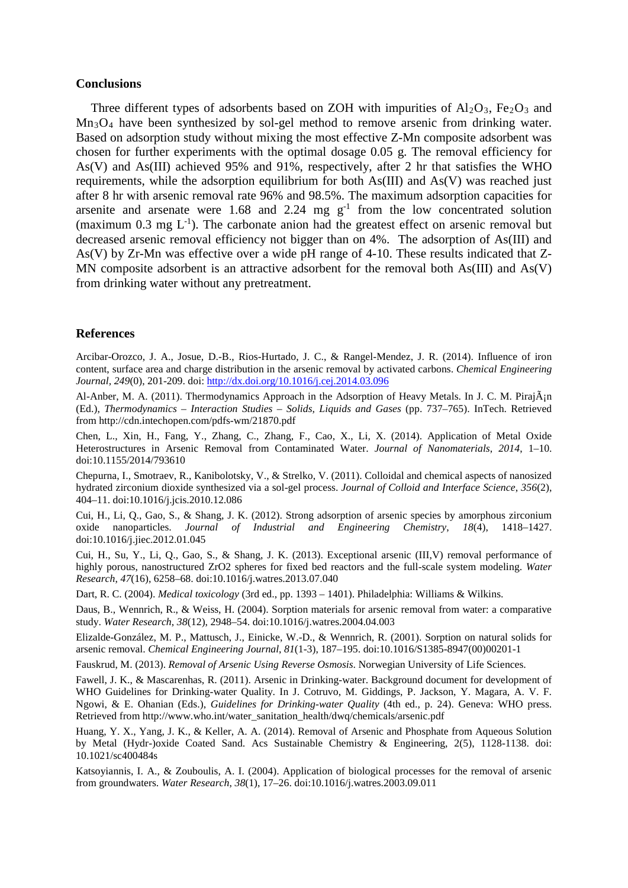## **Conclusions**

Three different types of adsorbents based on ZOH with impurities of  $Al_2O_3$ , Fe<sub>2</sub>O<sub>3</sub> and Mn3O4 have been synthesized by sol-gel method to remove arsenic from drinking water. Based on adsorption study without mixing the most effective Z-Mn composite adsorbent was chosen for further experiments with the optimal dosage 0.05 g. The removal efficiency for As(V) and As(III) achieved 95% and 91%, respectively, after 2 hr that satisfies the WHO requirements, while the adsorption equilibrium for both As(III) and As(V) was reached just after 8 hr with arsenic removal rate 96% and 98.5%. The maximum adsorption capacities for arsenite and arsenate were 1.68 and 2.24 mg  $g^{-1}$  from the low concentrated solution (maximum  $0.3$  mg  $L^{-1}$ ). The carbonate anion had the greatest effect on arsenic removal but decreased arsenic removal efficiency not bigger than on 4%. The adsorption of As(III) and As(V) by Zr-Mn was effective over a wide pH range of 4-10. These results indicated that Z-MN composite adsorbent is an attractive adsorbent for the removal both As(III) and As(V) from drinking water without any pretreatment.

#### **References**

Arcibar-Orozco, J. A., Josue, D.-B., Rios-Hurtado, J. C., & Rangel-Mendez, J. R. (2014). Influence of iron content, surface area and charge distribution in the arsenic removal by activated carbons. *Chemical Engineering Journal, 249*(0), 201-209. doi:<http://dx.doi.org/10.1016/j.cej.2014.03.096>

Al-Anber, M. A. (2011). Thermodynamics Approach in the Adsorption of Heavy Metals. In J. C. M. Piraján (Ed.), *Thermodynamics – Interaction Studies – Solids, Liquids and Gases* (pp. 737–765). InTech. Retrieved from http://cdn.intechopen.com/pdfs-wm/21870.pdf

Chen, L., Xin, H., Fang, Y., Zhang, C., Zhang, F., Cao, X., Li, X. (2014). Application of Metal Oxide Heterostructures in Arsenic Removal from Contaminated Water. *Journal of Nanomaterials*, *2014*, 1–10. doi:10.1155/2014/793610

Chepurna, I., Smotraev, R., Kanibolotsky, V., & Strelko, V. (2011). Colloidal and chemical aspects of nanosized hydrated zirconium dioxide synthesized via a sol-gel process. *Journal of Colloid and Interface Science*, *356*(2), 404–11. doi:10.1016/j.jcis.2010.12.086

Cui, H., Li, Q., Gao, S., & Shang, J. K. (2012). Strong adsorption of arsenic species by amorphous zirconium oxide nanoparticles. *Journal of Industrial and Engineering Chemistry*, *18*(4), 1418–1427. doi:10.1016/j.jiec.2012.01.045

Cui, H., Su, Y., Li, Q., Gao, S., & Shang, J. K. (2013). Exceptional arsenic (III,V) removal performance of highly porous, nanostructured ZrO2 spheres for fixed bed reactors and the full-scale system modeling. *Water Research*, *47*(16), 6258–68. doi:10.1016/j.watres.2013.07.040

Dart, R. C. (2004). *Medical toxicology* (3rd ed., pp. 1393 – 1401). Philadelphia: Williams & Wilkins.

Daus, B., Wennrich, R., & Weiss, H. (2004). Sorption materials for arsenic removal from water: a comparative study. *Water Research*, *38*(12), 2948–54. doi:10.1016/j.watres.2004.04.003

Elizalde-González, M. P., Mattusch, J., Einicke, W.-D., & Wennrich, R. (2001). Sorption on natural solids for arsenic removal. *Chemical Engineering Journal*, *81*(1-3), 187–195. doi:10.1016/S1385-8947(00)00201-1

Fauskrud, M. (2013). *Removal of Arsenic Using Reverse Osmosis*. Norwegian University of Life Sciences.

Fawell, J. K., & Mascarenhas, R. (2011). Arsenic in Drinking-water. Background document for development of WHO Guidelines for Drinking-water Quality. In J. Cotruvo, M. Giddings, P. Jackson, Y. Magara, A. V. F. Ngowi, & E. Ohanian (Eds.), *Guidelines for Drinking-water Quality* (4th ed., p. 24). Geneva: WHO press. Retrieved from http://www.who.int/water\_sanitation\_health/dwq/chemicals/arsenic.pdf

Huang, Y. X., Yang, J. K., & Keller, A. A. (2014). Removal of Arsenic and Phosphate from Aqueous Solution by Metal (Hydr-)oxide Coated Sand. Acs Sustainable Chemistry & Engineering, 2(5), 1128-1138. doi: 10.1021/sc400484s

Katsoyiannis, I. A., & Zouboulis, A. I. (2004). Application of biological processes for the removal of arsenic from groundwaters. *Water Research*, *38*(1), 17–26. doi:10.1016/j.watres.2003.09.011